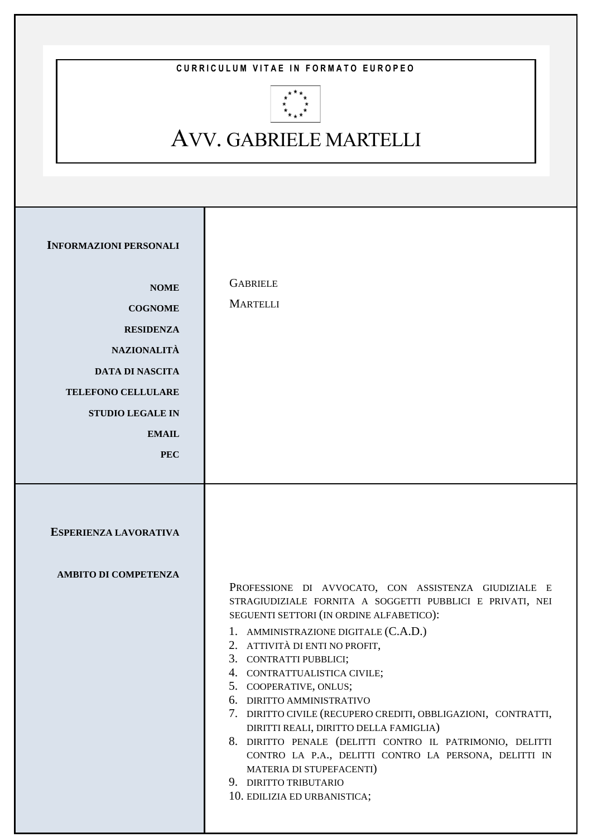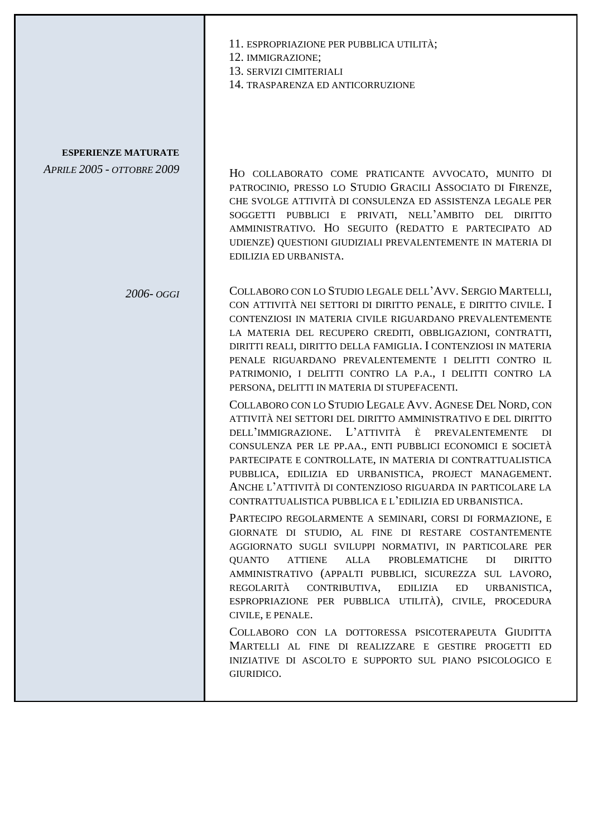|                                                                 | 11. ESPROPRIAZIONE PER PUBBLICA UTILITÀ;<br>12. IMMIGRAZIONE;<br>13. SERVIZI CIMITERIALI<br>14. TRASPARENZA ED ANTICORRUZIONE                                                                                                                                                                                                                                                                                                                                                                      |
|-----------------------------------------------------------------|----------------------------------------------------------------------------------------------------------------------------------------------------------------------------------------------------------------------------------------------------------------------------------------------------------------------------------------------------------------------------------------------------------------------------------------------------------------------------------------------------|
| <b>ESPERIENZE MATURATE</b><br><b>APRILE 2005 - OTTOBRE 2009</b> | HO COLLABORATO COME PRATICANTE AVVOCATO, MUNITO DI<br>PATROCINIO, PRESSO LO STUDIO GRACILI ASSOCIATO DI FIRENZE,<br>CHE SVOLGE ATTIVITÀ DI CONSULENZA ED ASSISTENZA LEGALE PER<br>SOGGETTI PUBBLICI E PRIVATI, NELL'AMBITO DEL DIRITTO<br>AMMINISTRATIVO. HO SEGUITO (REDATTO E PARTECIPATO AD<br>UDIENZE) QUESTIONI GIUDIZIALI PREVALENTEMENTE IN MATERIA DI<br>EDILIZIA ED URBANISTA.                                                                                                            |
| 2006- oggi                                                      | COLLABORO CON LO STUDIO LEGALE DELL'AVV. SERGIO MARTELLI,<br>CON ATTIVITÀ NEI SETTORI DI DIRITTO PENALE, E DIRITTO CIVILE. I<br>CONTENZIOSI IN MATERIA CIVILE RIGUARDANO PREVALENTEMENTE<br>LA MATERIA DEL RECUPERO CREDITI, OBBLIGAZIONI, CONTRATTI,<br>DIRITTI REALI, DIRITTO DELLA FAMIGLIA. I CONTENZIOSI IN MATERIA<br>PENALE RIGUARDANO PREVALENTEMENTE I DELITTI CONTRO IL<br>PATRIMONIO, I DELITTI CONTRO LA P.A., I DELITTI CONTRO LA<br>PERSONA, DELITTI IN MATERIA DI STUPEFACENTI.     |
|                                                                 | COLLABORO CON LO STUDIO LEGALE AVV. AGNESE DEL NORD, CON<br>ATTIVITÀ NEI SETTORI DEL DIRITTO AMMINISTRATIVO E DEL DIRITTO<br>DELL'IMMIGRAZIONE. L'ATTIVITÀ È PREVALENTEMENTE<br>DI<br>CONSULENZA PER LE PP.AA., ENTI PUBBLICI ECONOMICI E SOCIETÀ<br>PARTECIPATE E CONTROLLATE, IN MATERIA DI CONTRATTUALISTICA<br>PUBBLICA, EDILIZIA ED URBANISTICA, PROJECT MANAGEMENT.<br>ANCHE L'ATTIVITÀ DI CONTENZIOSO RIGUARDA IN PARTICOLARE LA<br>CONTRATTUALISTICA PUBBLICA E L'EDILIZIA ED URBANISTICA. |
|                                                                 | PARTECIPO REGOLARMENTE A SEMINARI, CORSI DI FORMAZIONE, E<br>GIORNATE DI STUDIO, AL FINE DI RESTARE COSTANTEMENTE<br>AGGIORNATO SUGLI SVILUPPI NORMATIVI, IN PARTICOLARE PER<br><b>ALLA</b><br><b>PROBLEMATICHE</b><br><b>QUANTO</b><br><b>ATTIENE</b><br>DI<br><b>DIRITTO</b><br>AMMINISTRATIVO (APPALTI PUBBLICI, SICUREZZA SUL LAVORO,<br>REGOLARITÀ CONTRIBUTIVA,<br>ED<br>EDILIZIA<br>URBANISTICA,<br>ESPROPRIAZIONE PER PUBBLICA UTILITÀ), CIVILE, PROCEDURA<br>CIVILE, E PENALE.            |
|                                                                 | COLLABORO CON LA DOTTORESSA PSICOTERAPEUTA GIUDITTA<br>MARTELLI AL FINE DI REALIZZARE E GESTIRE PROGETTI ED<br>INIZIATIVE DI ASCOLTO E SUPPORTO SUL PIANO PSICOLOGICO E<br>GIURIDICO.                                                                                                                                                                                                                                                                                                              |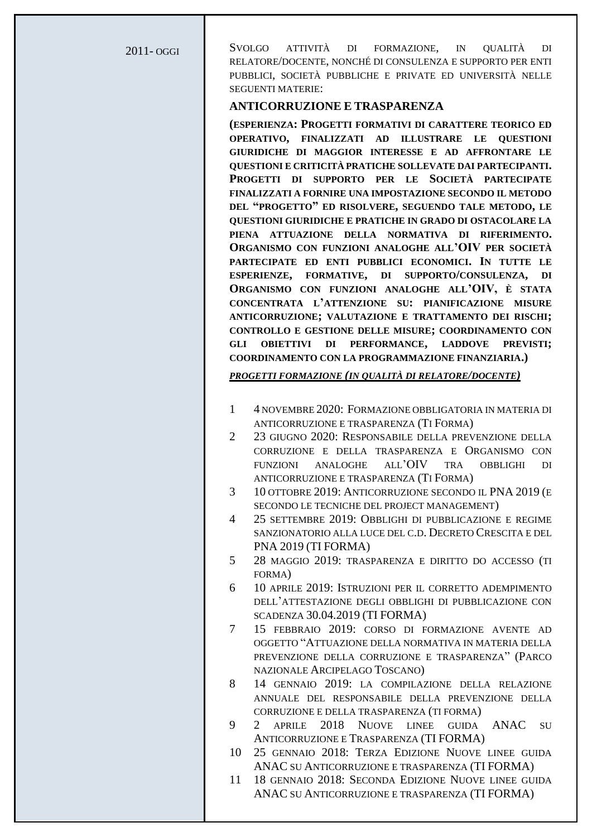2011- OGGI SVOLGO ATTIVITÀ DI FORMAZIONE, IN QUALITÀ DI RELATORE/DOCENTE, NONCHÉ DI CONSULENZA E SUPPORTO PER ENTI PUBBLICI, SOCIETÀ PUBBLICHE E PRIVATE ED UNIVERSITÀ NELLE SEGUENTI MATERIE:

#### **ANTICORRUZIONE E TRASPARENZA**

**(ESPERIENZA: PROGETTI FORMATIVI DI CARATTERE TEORICO ED OPERATIVO, FINALIZZATI AD ILLUSTRARE LE QUESTIONI GIURIDICHE DI MAGGIOR INTERESSE E AD AFFRONTARE LE QUESTIONI E CRITICITÀ PRATICHE SOLLEVATE DAI PARTECIPANTI. PROGETTI DI SUPPORTO PER LE SOCIETÀ PARTECIPATE FINALIZZATI A FORNIRE UNA IMPOSTAZIONE SECONDO IL METODO DEL "PROGETTO" ED RISOLVERE, SEGUENDO TALE METODO, LE QUESTIONI GIURIDICHE E PRATICHE IN GRADO DI OSTACOLARE LA PIENA ATTUAZIONE DELLA NORMATIVA DI RIFERIMENTO. ORGANISMO CON FUNZIONI ANALOGHE ALL'OIV PER SOCIETÀ PARTECIPATE ED ENTI PUBBLICI ECONOMICI. IN TUTTE LE ESPERIENZE, FORMATIVE, DI SUPPORTO/CONSULENZA, DI ORGANISMO CON FUNZIONI ANALOGHE ALL'OIV, È STATA CONCENTRATA L'ATTENZIONE SU: PIANIFICAZIONE MISURE ANTICORRUZIONE; VALUTAZIONE E TRATTAMENTO DEI RISCHI; CONTROLLO E GESTIONE DELLE MISURE; COORDINAMENTO CON GLI OBIETTIVI DI PERFORMANCE, LADDOVE PREVISTI; COORDINAMENTO CON LA PROGRAMMAZIONE FINANZIARIA.)**

*PROGETTI FORMAZIONE (IN QUALITÀ DI RELATORE/DOCENTE)*

- 1 4 NOVEMBRE 2020: FORMAZIONE OBBLIGATORIA IN MATERIA DI ANTICORRUZIONE E TRASPARENZA (TI FORMA)
- 2 23 GIUGNO 2020: RESPONSABILE DELLA PREVENZIONE DELLA CORRUZIONE E DELLA TRASPARENZA E ORGANISMO CON FUNZIONI ANALOGHE ALL'OIV TRA OBBLIGHI DI ANTICORRUZIONE E TRASPARENZA (TI FORMA)
- 3 10 OTTOBRE 2019: ANTICORRUZIONE SECONDO IL PNA 2019 (E SECONDO LE TECNICHE DEL PROJECT MANAGEMENT)
- 4 25 SETTEMBRE 2019: OBBLIGHI DI PUBBLICAZIONE E REGIME SANZIONATORIO ALLA LUCE DEL C.D. DECRETO CRESCITA E DEL PNA 2019 (TI FORMA)
- 5 28 MAGGIO 2019: TRASPARENZA E DIRITTO DO ACCESSO (TI FORMA)
- 6 10 APRILE 2019: ISTRUZIONI PER IL CORRETTO ADEMPIMENTO DELL'ATTESTAZIONE DEGLI OBBLIGHI DI PUBBLICAZIONE CON SCADENZA 30.04.2019 (TI FORMA)
- 7 15 FEBBRAIO 2019: CORSO DI FORMAZIONE AVENTE AD OGGETTO "ATTUAZIONE DELLA NORMATIVA IN MATERIA DELLA PREVENZIONE DELLA CORRUZIONE E TRASPARENZA" (PARCO NAZIONALE ARCIPELAGO TOSCANO)
- 8 14 GENNAIO 2019: LA COMPILAZIONE DELLA RELAZIONE ANNUALE DEL RESPONSABILE DELLA PREVENZIONE DELLA CORRUZIONE E DELLA TRASPARENZA (TI FORMA)
- 9 2 APRILE 2018 NUOVE LINEE GUIDA ANAC SU ANTICORRUZIONE E TRASPARENZA (TI FORMA)
- 10 25 GENNAIO 2018: TERZA EDIZIONE NUOVE LINEE GUIDA ANAC SU ANTICORRUZIONE E TRASPARENZA (TI FORMA)
- 11 18 GENNAIO 2018: SECONDA EDIZIONE NUOVE LINEE GUIDA ANAC SU ANTICORRUZIONE E TRASPARENZA (TI FORMA)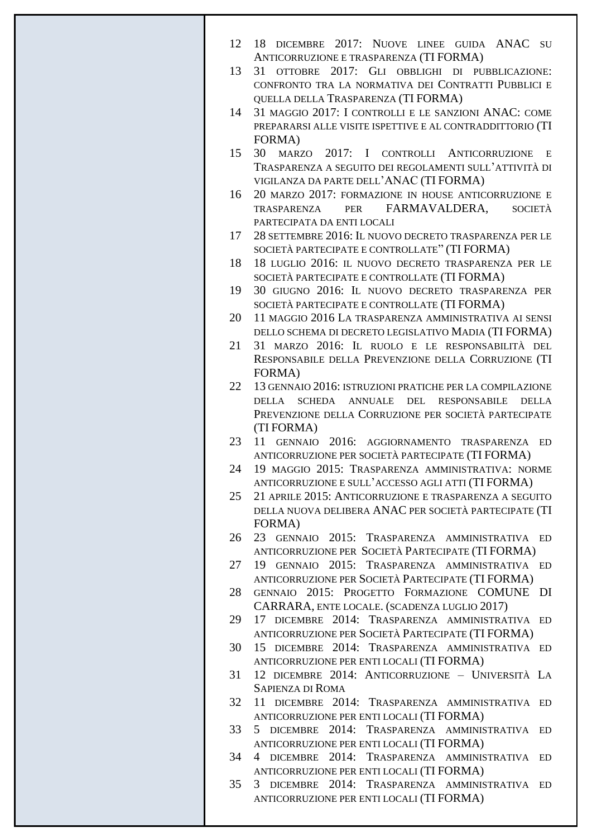| 12 | DICEMBRE 2017: NUOVE LINEE GUIDA ANAC SU<br>18<br>ANTICORRUZIONE E TRASPARENZA (TI FORMA)                   |
|----|-------------------------------------------------------------------------------------------------------------|
| 13 | 31 OTTOBRE 2017: GLI OBBLIGHI DI PUBBLICAZIONE:                                                             |
|    | CONFRONTO TRA LA NORMATIVA DEI CONTRATTI PUBBLICI E                                                         |
|    | QUELLA DELLA TRASPARENZA (TI FORMA)                                                                         |
| 14 | 31 MAGGIO 2017: I CONTROLLI E LE SANZIONI ANAC: COME                                                        |
|    | PREPARARSI ALLE VISITE ISPETTIVE E AL CONTRADDITTORIO (TI                                                   |
|    | FORMA)                                                                                                      |
| 15 | 30 MARZO<br>2017: I CONTROLLI ANTICORRUZIONE<br>E<br>TRASPARENZA A SEGUITO DEI REGOLAMENTI SULL'ATTIVITÀ DI |
|    | VIGILANZA DA PARTE DELL'ANAC (TI FORMA)                                                                     |
| 16 | 20 MARZO 2017: FORMAZIONE IN HOUSE ANTICORRUZIONE E                                                         |
|    | TRASPARENZA PER FARMAVALDERA,<br><b>SOCIETÀ</b>                                                             |
|    | PARTECIPATA DA ENTI LOCALI                                                                                  |
| 17 | 28 SETTEMBRE 2016: IL NUOVO DECRETO TRASPARENZA PER LE                                                      |
| 18 | SOCIETÀ PARTECIPATE E CONTROLLATE" (TI FORMA)<br>18 LUGLIO 2016: IL NUOVO DECRETO TRASPARENZA PER LE        |
|    | SOCIETÀ PARTECIPATE E CONTROLLATE (TI FORMA)                                                                |
| 19 | 30 GIUGNO 2016: IL NUOVO DECRETO TRASPARENZA PER                                                            |
|    | SOCIETÀ PARTECIPATE E CONTROLLATE (TI FORMA)                                                                |
| 20 | 11 MAGGIO 2016 LA TRASPARENZA AMMINISTRATIVA AI SENSI                                                       |
| 21 | DELLO SCHEMA DI DECRETO LEGISLATIVO MADIA (TI FORMA)<br>31 MARZO 2016: IL RUOLO E LE RESPONSABILITÀ DEL     |
|    | RESPONSABILE DELLA PREVENZIONE DELLA CORRUZIONE (TI                                                         |
|    | FORMA)                                                                                                      |
| 22 | 13 GENNAIO 2016: ISTRUZIONI PRATICHE PER LA COMPILAZIONE                                                    |
|    | DELLA SCHEDA ANNUALE DEL RESPONSABILE<br><b>DELLA</b>                                                       |
|    | PREVENZIONE DELLA CORRUZIONE PER SOCIETÀ PARTECIPATE                                                        |
|    | (TI FORMA)<br>11 GENNAIO 2016: AGGIORNAMENTO TRASPARENZA                                                    |
| 23 | ED<br>ANTICORRUZIONE PER SOCIETÀ PARTECIPATE (TI FORMA)                                                     |
| 24 | 19 MAGGIO 2015: TRASPARENZA AMMINISTRATIVA: NORME                                                           |
|    | ANTICORRUZIONE E SULL'ACCESSO AGLI ATTI (TI FORMA)                                                          |
| 25 | 21 APRILE 2015: ANTICORRUZIONE E TRASPARENZA A SEGUITO                                                      |
|    | DELLA NUOVA DELIBERA ANAC PER SOCIETÀ PARTECIPATE (TI                                                       |
| 26 | FORMA)<br>23 GENNAIO 2015: TRASPARENZA AMMINISTRATIVA<br>ED                                                 |
|    | ANTICORRUZIONE PER SOCIETÀ PARTECIPATE (TI FORMA)                                                           |
| 27 | 19 GENNAIO 2015: TRASPARENZA AMMINISTRATIVA ED                                                              |
|    | ANTICORRUZIONE PER SOCIETÀ PARTECIPATE (TI FORMA)                                                           |
| 28 | GENNAIO 2015: PROGETTO FORMAZIONE COMUNE<br>DI                                                              |
| 29 | CARRARA, ENTE LOCALE. (SCADENZA LUGLIO 2017)<br>17 DICEMBRE 2014: TRASPARENZA AMMINISTRATIVA<br>ED          |
|    | ANTICORRUZIONE PER SOCIETÀ PARTECIPATE (TI FORMA)                                                           |
| 30 | 15 DICEMBRE 2014: TRASPARENZA AMMINISTRATIVA ED                                                             |
|    | ANTICORRUZIONE PER ENTI LOCALI (TI FORMA)                                                                   |
| 31 | 12 DICEMBRE 2014: ANTICORRUZIONE - UNIVERSITÀ LA                                                            |
|    | <b>SAPIENZA DI ROMA</b>                                                                                     |
| 32 | 11 DICEMBRE 2014: TRASPARENZA AMMINISTRATIVA<br>ED<br>ANTICORRUZIONE PER ENTI LOCALI (TI FORMA)             |
| 33 | 5 DICEMBRE 2014: TRASPARENZA AMMINISTRATIVA<br><b>ED</b>                                                    |
|    | ANTICORRUZIONE PER ENTI LOCALI (TI FORMA)                                                                   |
| 34 | DICEMBRE 2014: TRASPARENZA AMMINISTRATIVA<br>$\overline{4}$<br><b>ED</b>                                    |
|    | ANTICORRUZIONE PER ENTI LOCALI (TI FORMA)                                                                   |
| 35 | DICEMBRE 2014: TRASPARENZA AMMINISTRATIVA<br>3<br>ED                                                        |
|    | ANTICORRUZIONE PER ENTI LOCALI (TI FORMA)                                                                   |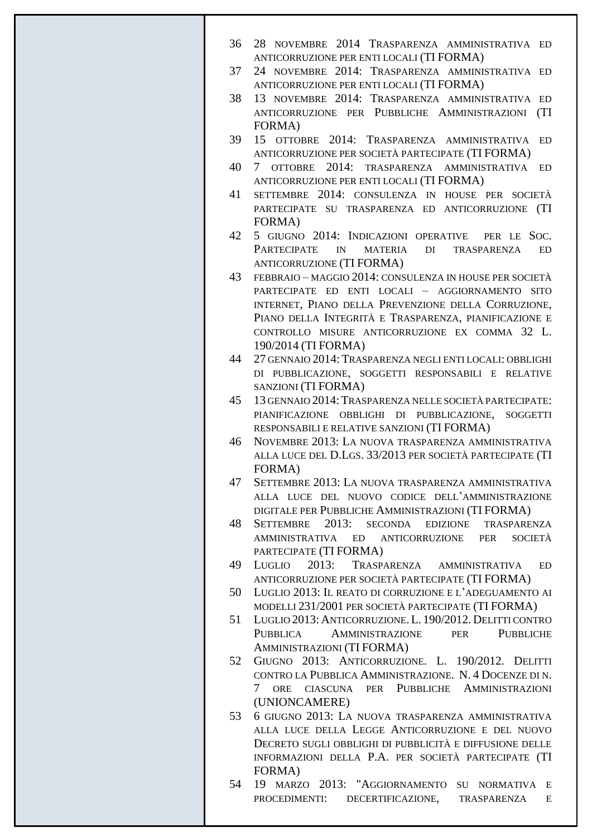- 36 28 NOVEMBRE 2014 TRASPARENZA AMMINISTRATIVA ED ANTICORRUZIONE PER ENTI LOCALI (TI FORMA)
- 37 24 NOVEMBRE 2014: TRASPARENZA AMMINISTRATIVA ED ANTICORRUZIONE PER ENTI LOCALI (TI FORMA)
- 38 13 NOVEMBRE 2014: TRASPARENZA AMMINISTRATIVA ED ANTICORRUZIONE PER PUBBLICHE AMMINISTRAZIONI (TI FORMA)
- 39 15 OTTOBRE 2014: TRASPARENZA AMMINISTRATIVA ED ANTICORRUZIONE PER SOCIETÀ PARTECIPATE (TI FORMA)
- 40 7 OTTOBRE 2014: TRASPARENZA AMMINISTRATIVA ED ANTICORRUZIONE PER ENTI LOCALI (TI FORMA)
- 41 SETTEMBRE 2014: CONSULENZA IN HOUSE PER SOCIETÀ PARTECIPATE SU TRASPARENZA ED ANTICORRUZIONE (TI FORMA)
- 42 5 GIUGNO 2014: INDICAZIONI OPERATIVE PER LE SOC. PARTECIPATE IN MATERIA DI TRASPARENZA ED ANTICORRUZIONE (TI FORMA)
- 43 FEBBRAIO MAGGIO 2014: CONSULENZA IN HOUSE PER SOCIETÀ PARTECIPATE ED ENTI LOCALI – AGGIORNAMENTO SITO INTERNET, PIANO DELLA PREVENZIONE DELLA CORRUZIONE, PIANO DELLA INTEGRITÀ E TRASPARENZA, PIANIFICAZIONE E CONTROLLO MISURE ANTICORRUZIONE EX COMMA 32 L. 190/2014 (TI FORMA)
- 44 27 GENNAIO 2014: TRASPARENZA NEGLI ENTI LOCALI: OBBLIGHI DI PUBBLICAZIONE, SOGGETTI RESPONSABILI E RELATIVE SANZIONI (TI FORMA)
- 45 13 GENNAIO 2014:TRASPARENZA NELLE SOCIETÀ PARTECIPATE: PIANIFICAZIONE OBBLIGHI DI PUBBLICAZIONE, SOGGETTI RESPONSABILI E RELATIVE SANZIONI (TI FORMA)
- 46 NOVEMBRE 2013: LA NUOVA TRASPARENZA AMMINISTRATIVA ALLA LUCE DEL D.LGS. 33/2013 PER SOCIETÀ PARTECIPATE (TI FORMA)
- 47 SETTEMBRE 2013: LA NUOVA TRASPARENZA AMMINISTRATIVA ALLA LUCE DEL NUOVO CODICE DELL'AMMINISTRAZIONE DIGITALE PER PUBBLICHE AMMINISTRAZIONI (TI FORMA)
- 48 SETTEMBRE 2013: SECONDA EDIZIONE TRASPARENZA AMMINISTRATIVA ED ANTICORRUZIONE PER SOCIETÀ PARTECIPATE (TI FORMA)
- 49 LUGLIO 2013: TRASPARENZA AMMINISTRATIVA ED ANTICORRUZIONE PER SOCIETÀ PARTECIPATE (TI FORMA)
- 50 LUGLIO 2013: IL REATO DI CORRUZIONE E L'ADEGUAMENTO AI MODELLI 231/2001 PER SOCIETÀ PARTECIPATE (TI FORMA)
- 51 LUGLIO 2013: ANTICORRUZIONE.L. 190/2012. DELITTI CONTRO PUBBLICA AMMINISTRAZIONE PER PUBBLICHE AMMINISTRAZIONI (TI FORMA)
- 52 GIUGNO 2013: ANTICORRUZIONE. L. 190/2012. DELITTI CONTRO LA PUBBLICA AMMINISTRAZIONE. N. 4 DOCENZE DI N. 7 ORE CIASCUNA PER PUBBLICHE AMMINISTRAZIONI (UNIONCAMERE)
- 53 6 GIUGNO 2013: LA NUOVA TRASPARENZA AMMINISTRATIVA ALLA LUCE DELLA LEGGE ANTICORRUZIONE E DEL NUOVO DECRETO SUGLI OBBLIGHI DI PUBBLICITÀ E DIFFUSIONE DELLE INFORMAZIONI DELLA P.A. PER SOCIETÀ PARTECIPATE (TI FORMA)
- 54 19 MARZO 2013: "AGGIORNAMENTO SU NORMATIVA E PROCEDIMENTI: DECERTIFICAZIONE, TRASPARENZA E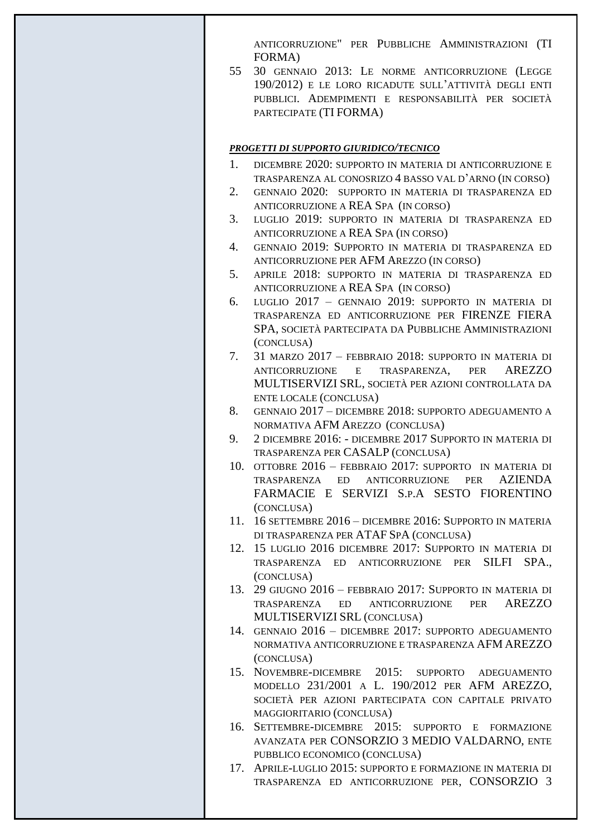ANTICORRUZIONE" PER PUBBLICHE AMMINISTRAZIONI (TI FORMA)

55 30 GENNAIO 2013: LE NORME ANTICORRUZIONE (LEGGE 190/2012) E LE LORO RICADUTE SULL'ATTIVITÀ DEGLI ENTI PUBBLICI. ADEMPIMENTI E RESPONSABILITÀ PER SOCIETÀ PARTECIPATE (TI FORMA)

### *PROGETTI DI SUPPORTO GIURIDICO/TECNICO*

- 1. DICEMBRE 2020: SUPPORTO IN MATERIA DI ANTICORRUZIONE E TRASPARENZA AL CONOSRIZO 4 BASSO VAL D'ARNO (IN CORSO)
- 2. GENNAIO 2020: SUPPORTO IN MATERIA DI TRASPARENZA ED ANTICORRUZIONE A REA SPA (IN CORSO)
- 3. LUGLIO 2019: SUPPORTO IN MATERIA DI TRASPARENZA ED ANTICORRUZIONE A REA SPA (IN CORSO)
- 4. GENNAIO 2019: SUPPORTO IN MATERIA DI TRASPARENZA ED ANTICORRUZIONE PER AFM AREZZO (IN CORSO)
- 5. APRILE 2018: SUPPORTO IN MATERIA DI TRASPARENZA ED ANTICORRUZIONE A REA SPA (IN CORSO)
- 6. LUGLIO 2017 GENNAIO 2019: SUPPORTO IN MATERIA DI TRASPARENZA ED ANTICORRUZIONE PER FIRENZE FIERA SPA, SOCIETÀ PARTECIPATA DA PUBBLICHE AMMINISTRAZIONI (CONCLUSA)
- 7. 31 MARZO 2017 FEBBRAIO 2018: SUPPORTO IN MATERIA DI ANTICORRUZIONE E TRASPARENZA, PER AREZZO MULTISERVIZI SRL, SOCIETÀ PER AZIONI CONTROLLATA DA ENTE LOCALE (CONCLUSA)
- 8. GENNAIO 2017 DICEMBRE 2018: SUPPORTO ADEGUAMENTO A NORMATIVA AFM AREZZO (CONCLUSA)
- 9. 2 DICEMBRE 2016: DICEMBRE 2017 SUPPORTO IN MATERIA DI TRASPARENZA PER CASALP (CONCLUSA)
- 10. OTTOBRE 2016 FEBBRAIO 2017: SUPPORTO IN MATERIA DI TRASPARENZA ED ANTICORRUZIONE PER AZIENDA FARMACIE E SERVIZI S.P.A SESTO FIORENTINO (CONCLUSA)
- 11. 16 SETTEMBRE 2016 DICEMBRE 2016: SUPPORTO IN MATERIA DI TRASPARENZA PER ATAF SPA (CONCLUSA)
- 12. 15 LUGLIO 2016 DICEMBRE 2017: SUPPORTO IN MATERIA DI TRASPARENZA ED ANTICORRUZIONE PER SILFI SPA., (CONCLUSA)
- 13. 29 GIUGNO 2016 FEBBRAIO 2017: SUPPORTO IN MATERIA DI TRASPARENZA ED ANTICORRUZIONE PER AREZZO MULTISERVIZI SRL (CONCLUSA)
- 14. GENNAIO 2016 DICEMBRE 2017: SUPPORTO ADEGUAMENTO NORMATIVA ANTICORRUZIONE E TRASPARENZA AFM AREZZO (CONCLUSA)
- 15. NOVEMBRE-DICEMBRE 2015: SUPPORTO ADEGUAMENTO MODELLO 231/2001 A L. 190/2012 PER AFM AREZZO, SOCIETÀ PER AZIONI PARTECIPATA CON CAPITALE PRIVATO MAGGIORITARIO (CONCLUSA)
- 16. SETTEMBRE-DICEMBRE 2015: SUPPORTO E FORMAZIONE AVANZATA PER CONSORZIO 3 MEDIO VALDARNO, ENTE PUBBLICO ECONOMICO (CONCLUSA)
- 17. APRILE-LUGLIO 2015: SUPPORTO E FORMAZIONE IN MATERIA DI TRASPARENZA ED ANTICORRUZIONE PER, CONSORZIO 3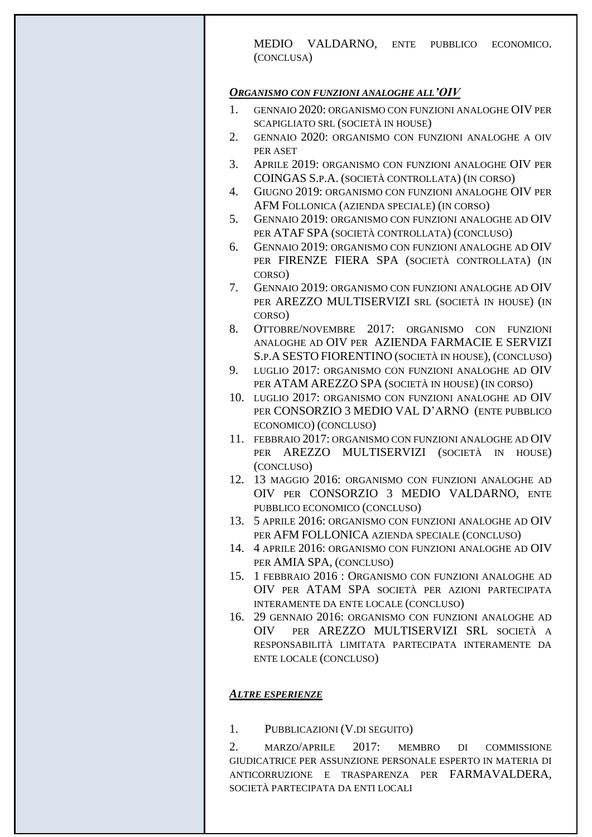MEDIO VALDARNO, ENTE PUBBLICO ECONOMICO. (CONCLUSA)

#### *ORGANISMO CON FUNZIONI ANALOGHE ALL'OIV*

- 1. GENNAIO 2020: ORGANISMO CON FUNZIONI ANALOGHE OIV PER SCAPIGLIATO SRL (SOCIETÀ IN HOUSE)
- 2. GENNAIO 2020: ORGANISMO CON FUNZIONI ANALOGHE A OIV PER ASET
- 3. APRILE 2019: ORGANISMO CON FUNZIONI ANALOGHE OIV PER COINGAS S.P.A. (SOCIETÀ CONTROLLATA) (IN CORSO)
- 4. GIUGNO 2019: ORGANISMO CON FUNZIONI ANALOGHE OIV PER AFM FOLLONICA (AZIENDA SPECIALE) (IN CORSO)
- 5. GENNAIO 2019: ORGANISMO CON FUNZIONI ANALOGHE AD OIV PER ATAF SPA (SOCIETÀ CONTROLLATA) (CONCLUSO)
- 6. GENNAIO 2019: ORGANISMO CON FUNZIONI ANALOGHE AD OIV PER FIRENZE FIERA SPA (SOCIETÀ CONTROLLATA) (IN CORSO)
- 7. GENNAIO 2019: ORGANISMO CON FUNZIONI ANALOGHE AD OIV PER AREZZO MULTISERVIZI SRL (SOCIETÀ IN HOUSE) (IN CORSO)
- 8. OTTOBRE/NOVEMBRE 2017: ORGANISMO CON FUNZIONI ANALOGHE AD OIV PER AZIENDA FARMACIE E SERVIZI S.P.A SESTO FIORENTINO (SOCIETÀ IN HOUSE), (CONCLUSO)
- 9. LUGLIO 2017: ORGANISMO CON FUNZIONI ANALOGHE AD OIV PER ATAM AREZZO SPA (SOCIETÀ IN HOUSE) (IN CORSO)
- 10. LUGLIO 2017: ORGANISMO CON FUNZIONI ANALOGHE AD OIV PER CONSORZIO 3 MEDIO VAL D'ARNO (ENTE PUBBLICO ECONOMICO) (CONCLUSO)
- 11. FEBBRAIO 2017: ORGANISMO CON FUNZIONI ANALOGHE AD OIV PER AREZZO MULTISERVIZI (SOCIETÀ IN HOUSE) (CONCLUSO)
- 12. 13 MAGGIO 2016: ORGANISMO CON FUNZIONI ANALOGHE AD OIV PER CONSORZIO 3 MEDIO VALDARNO, ENTE PUBBLICO ECONOMICO (CONCLUSO)
- 13. 5 APRILE 2016: ORGANISMO CON FUNZIONI ANALOGHE AD OIV PER AFM FOLLONICA AZIENDA SPECIALE (CONCLUSO)
- 14. 4 APRILE 2016: ORGANISMO CON FUNZIONI ANALOGHE AD OIV PER AMIA SPA, (CONCLUSO)
- 15. 1 FEBBRAIO 2016 : ORGANISMO CON FUNZIONI ANALOGHE AD OIV PER ATAM SPA SOCIETÀ PER AZIONI PARTECIPATA INTERAMENTE DA ENTE LOCALE (CONCLUSO)
- 16. 29 GENNAIO 2016: ORGANISMO CON FUNZIONI ANALOGHE AD OIV PER AREZZO MULTISERVIZI SRL SOCIETÀ A RESPONSABILITÀ LIMITATA PARTECIPATA INTERAMENTE DA ENTE LOCALE (CONCLUSO)

## *ALTRE ESPERIENZE*

1. PUBBLICAZIONI (V.DI SEGUITO)

2. MARZO/APRILE 2017: MEMBRO DI COMMISSIONE GIUDICATRICE PER ASSUNZIONE PERSONALE ESPERTO IN MATERIA DI ANTICORRUZIONE E TRASPARENZA PER FARMAVALDERA, SOCIETÀ PARTECIPATA DA ENTI LOCALI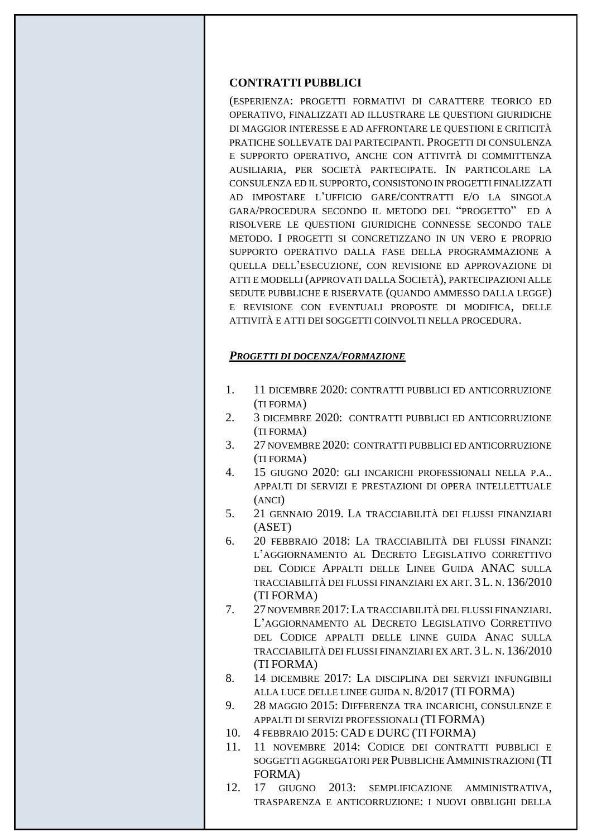#### **CONTRATTI PUBBLICI**

(ESPERIENZA: PROGETTI FORMATIVI DI CARATTERE TEORICO ED OPERATIVO, FINALIZZATI AD ILLUSTRARE LE QUESTIONI GIURIDICHE DI MAGGIOR INTERESSE E AD AFFRONTARE LE QUESTIONI E CRITICITÀ PRATICHE SOLLEVATE DAI PARTECIPANTI. PROGETTI DI CONSULENZA E SUPPORTO OPERATIVO, ANCHE CON ATTIVITÀ DI COMMITTENZA AUSILIARIA, PER SOCIETÀ PARTECIPATE. IN PARTICOLARE LA CONSULENZA ED IL SUPPORTO, CONSISTONO IN PROGETTI FINALIZZATI AD IMPOSTARE L'UFFICIO GARE/CONTRATTI E/O LA SINGOLA GARA/PROCEDURA SECONDO IL METODO DEL "PROGETTO" ED A RISOLVERE LE QUESTIONI GIURIDICHE CONNESSE SECONDO TALE METODO. I PROGETTI SI CONCRETIZZANO IN UN VERO E PROPRIO SUPPORTO OPERATIVO DALLA FASE DELLA PROGRAMMAZIONE A QUELLA DELL'ESECUZIONE, CON REVISIONE ED APPROVAZIONE DI ATTI E MODELLI (APPROVATI DALLA SOCIETÀ), PARTECIPAZIONI ALLE SEDUTE PUBBLICHE E RISERVATE (QUANDO AMMESSO DALLA LEGGE) E REVISIONE CON EVENTUALI PROPOSTE DI MODIFICA, DELLE ATTIVITÀ E ATTI DEI SOGGETTI COINVOLTI NELLA PROCEDURA.

### *PROGETTI DI DOCENZA/FORMAZIONE*

- 1. 11 DICEMBRE 2020: CONTRATTI PUBBLICI ED ANTICORRUZIONE (TI FORMA)
- 2. 3 DICEMBRE 2020: CONTRATTI PUBBLICI ED ANTICORRUZIONE (TI FORMA)
- 3. 27 NOVEMBRE 2020: CONTRATTI PUBBLICI ED ANTICORRUZIONE (TI FORMA)
- 4. 15 GIUGNO 2020: GLI INCARICHI PROFESSIONALI NELLA P.A.. APPALTI DI SERVIZI E PRESTAZIONI DI OPERA INTELLETTUALE (ANCI)
- 5. 21 GENNAIO 2019. LA TRACCIABILITÀ DEI FLUSSI FINANZIARI (ASET)
- 6. 20 FEBBRAIO 2018: LA TRACCIABILITÀ DEI FLUSSI FINANZI: L'AGGIORNAMENTO AL DECRETO LEGISLATIVO CORRETTIVO DEL CODICE APPALTI DELLE LINEE GUIDA ANAC SULLA TRACCIABILITÀ DEI FLUSSI FINANZIARI EX ART. 3 L. N. 136/2010 (TI FORMA)
- 7. 27 NOVEMBRE 2017: LA TRACCIABILITÀ DEL FLUSSI FINANZIARI. L'AGGIORNAMENTO AL DECRETO LEGISLATIVO CORRETTIVO DEL CODICE APPALTI DELLE LINNE GUIDA ANAC SULLA TRACCIABILITÀ DEI FLUSSI FINANZIARI EX ART. 3 L. N. 136/2010 (TI FORMA)
- 8. 14 DICEMBRE 2017: LA DISCIPLINA DEI SERVIZI INFUNGIBILI ALLA LUCE DELLE LINEE GUIDA N. 8/2017 (TI FORMA)
- 9. 28 MAGGIO 2015: DIFFERENZA TRA INCARICHI, CONSULENZE E APPALTI DI SERVIZI PROFESSIONALI (TI FORMA)
- 10. 4 FEBBRAIO 2015: CAD E DURC (TI FORMA)
- 11. 11 NOVEMBRE 2014: CODICE DEI CONTRATTI PUBBLICI E SOGGETTI AGGREGATORI PER PUBBLICHE AMMINISTRAZIONI (TI FORMA)
- 12. 17 GIUGNO 2013: SEMPLIFICAZIONE AMMINISTRATIVA, TRASPARENZA E ANTICORRUZIONE: I NUOVI OBBLIGHI DELLA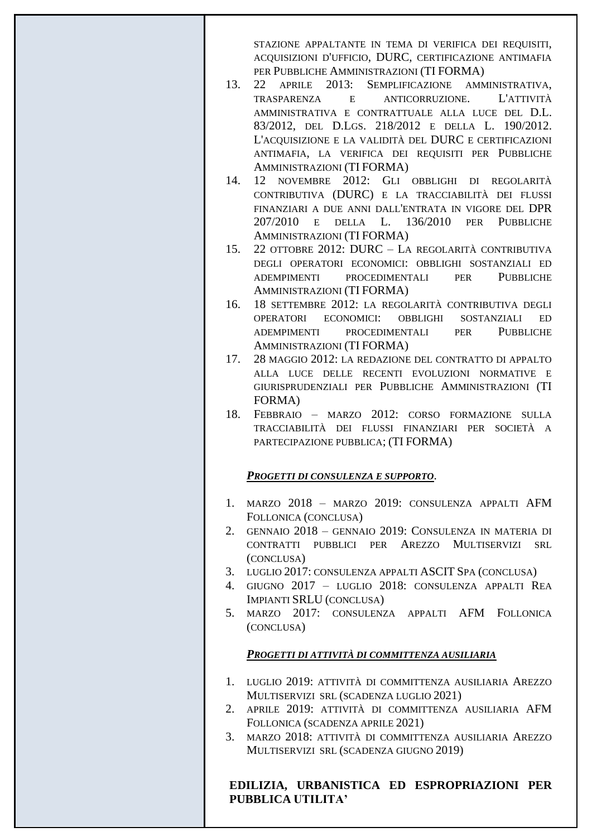STAZIONE APPALTANTE IN TEMA DI VERIFICA DEI REQUISITI, ACQUISIZIONI D'UFFICIO, DURC, CERTIFICAZIONE ANTIMAFIA PER PUBBLICHE AMMINISTRAZIONI (TI FORMA)

- 13. 22 APRILE 2013: SEMPLIFICAZIONE AMMINISTRATIVA, TRASPARENZA E ANTICORRUZIONE. L'ATTIVITÀ AMMINISTRATIVA E CONTRATTUALE ALLA LUCE DEL D.L. 83/2012, DEL D.LGS. 218/2012 E DELLA L. 190/2012. L'ACQUISIZIONE E LA VALIDITÀ DEL DURC E CERTIFICAZIONI ANTIMAFIA, LA VERIFICA DEI REQUISITI PER PUBBLICHE AMMINISTRAZIONI (TI FORMA)
- 14. 12 NOVEMBRE 2012: GLI OBBLIGHI DI REGOLARITÀ CONTRIBUTIVA (DURC) E LA TRACCIABILITÀ DEI FLUSSI FINANZIARI A DUE ANNI DALL'ENTRATA IN VIGORE DEL DPR 207/2010 E DELLA L. 136/2010 PER PUBBLICHE AMMINISTRAZIONI (TI FORMA)
- 15. 22 OTTOBRE 2012: DURC LA REGOLARITÀ CONTRIBUTIVA DEGLI OPERATORI ECONOMICI: OBBLIGHI SOSTANZIALI ED ADEMPIMENTI PROCEDIMENTALI PER PUBBLICHE AMMINISTRAZIONI (TI FORMA)
- 16. 18 SETTEMBRE 2012: LA REGOLARITÀ CONTRIBUTIVA DEGLI OPERATORI ECONOMICI: OBBLIGHI SOSTANZIALI ED ADEMPIMENTI PROCEDIMENTALI PER PUBBLICHE AMMINISTRAZIONI (TI FORMA)
- 17. 28 MAGGIO 2012: LA REDAZIONE DEL CONTRATTO DI APPALTO ALLA LUCE DELLE RECENTI EVOLUZIONI NORMATIVE E GIURISPRUDENZIALI PER PUBBLICHE AMMINISTRAZIONI (TI FORMA)
- 18. FEBBRAIO MARZO 2012: CORSO FORMAZIONE SULLA TRACCIABILITÀ DEI FLUSSI FINANZIARI PER SOCIETÀ A PARTECIPAZIONE PUBBLICA; (TI FORMA)

# *PROGETTI DI CONSULENZA E SUPPORTO*.

- 1. MARZO 2018 MARZO 2019: CONSULENZA APPALTI AFM FOLLONICA (CONCLUSA)
- 2. GENNAIO 2018 GENNAIO 2019: CONSULENZA IN MATERIA DI CONTRATTI PUBBLICI PER AREZZO MULTISERVIZI SRL (CONCLUSA)
- 3. LUGLIO 2017: CONSULENZA APPALTI ASCIT SPA (CONCLUSA)
- 4. GIUGNO 2017 LUGLIO 2018: CONSULENZA APPALTI REA IMPIANTI SRLU (CONCLUSA)
- 5. MARZO 2017: CONSULENZA APPALTI AFM FOLLONICA (CONCLUSA)

# *PROGETTI DI ATTIVITÀ DI COMMITTENZA AUSILIARIA*

- 1. LUGLIO 2019: ATTIVITÀ DI COMMITTENZA AUSILIARIA AREZZO MULTISERVIZI SRL (SCADENZA LUGLIO 2021)
- 2. APRILE 2019: ATTIVITÀ DI COMMITTENZA AUSILIARIA AFM FOLLONICA (SCADENZA APRILE 2021)
- 3. MARZO 2018: ATTIVITÀ DI COMMITTENZA AUSILIARIA AREZZO MULTISERVIZI SRL (SCADENZA GIUGNO 2019)

# **EDILIZIA, URBANISTICA ED ESPROPRIAZIONI PER PUBBLICA UTILITA'**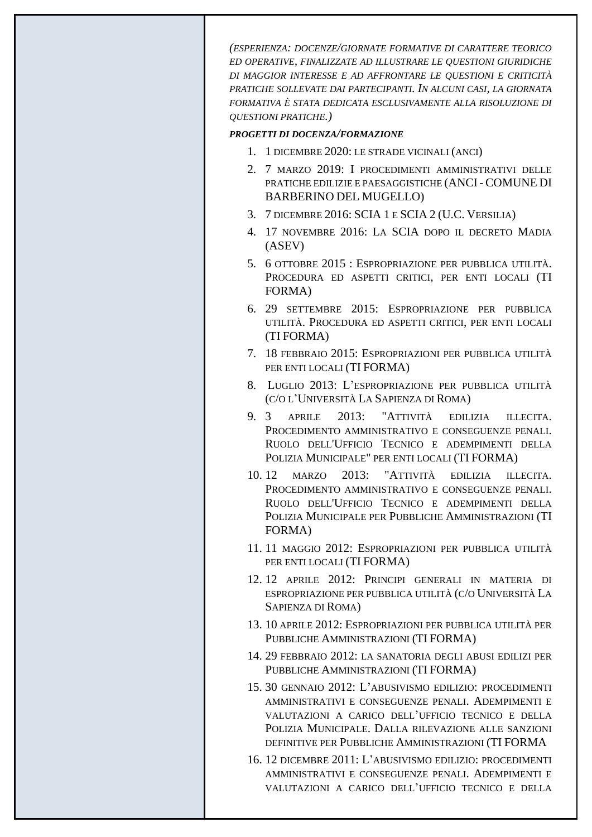*(ESPERIENZA: DOCENZE/GIORNATE FORMATIVE DI CARATTERE TEORICO ED OPERATIVE, FINALIZZATE AD ILLUSTRARE LE QUESTIONI GIURIDICHE DI MAGGIOR INTERESSE E AD AFFRONTARE LE QUESTIONI E CRITICITÀ PRATICHE SOLLEVATE DAI PARTECIPANTI. IN ALCUNI CASI, LA GIORNATA FORMATIVA È STATA DEDICATA ESCLUSIVAMENTE ALLA RISOLUZIONE DI QUESTIONI PRATICHE.)*

#### *PROGETTI DI DOCENZA/FORMAZIONE*

- 1. 1 DICEMBRE 2020: LE STRADE VICINALI (ANCI)
- 2. 7 MARZO 2019: I PROCEDIMENTI AMMINISTRATIVI DELLE PRATICHE EDILIZIE E PAESAGGISTICHE (ANCI- COMUNE DI BARBERINO DEL MUGELLO)
- 3. 7 DICEMBRE 2016: SCIA 1 E SCIA 2 (U.C. VERSILIA)
- 4. 17 NOVEMBRE 2016: LA SCIA DOPO IL DECRETO MADIA (ASEV)
- 5. 6 OTTOBRE 2015 : ESPROPRIAZIONE PER PUBBLICA UTILITÀ. PROCEDURA ED ASPETTI CRITICI, PER ENTI LOCALI (TI FORMA)
- 6. 29 SETTEMBRE 2015: ESPROPRIAZIONE PER PUBBLICA UTILITÀ. PROCEDURA ED ASPETTI CRITICI, PER ENTI LOCALI (TI FORMA)
- 7. 18 FEBBRAIO 2015: ESPROPRIAZIONI PER PUBBLICA UTILITÀ PER ENTI LOCALI (TI FORMA)
- 8. LUGLIO 2013: L'ESPROPRIAZIONE PER PUBBLICA UTILITÀ (C/O L'UNIVERSITÀ LA SAPIENZA DI ROMA)
- 9. 3 APRILE 2013: "ATTIVITÀ EDILIZIA ILLECITA. PROCEDIMENTO AMMINISTRATIVO E CONSEGUENZE PENALI. RUOLO DELL'UFFICIO TECNICO E ADEMPIMENTI DELLA POLIZIA MUNICIPALE" PER ENTI LOCALI (TI FORMA)
- 10. 12 MARZO 2013: "ATTIVITÀ EDILIZIA ILLECITA. PROCEDIMENTO AMMINISTRATIVO E CONSEGUENZE PENALI. RUOLO DELL'UFFICIO TECNICO E ADEMPIMENTI DELLA POLIZIA MUNICIPALE PER PUBBLICHE AMMINISTRAZIONI (TI FORMA)
- 11. 11 MAGGIO 2012: ESPROPRIAZIONI PER PUBBLICA UTILITÀ PER ENTI LOCALI (TI FORMA)
- 12. 12 APRILE 2012: PRINCIPI GENERALI IN MATERIA DI ESPROPRIAZIONE PER PUBBLICA UTILITÀ (C/O UNIVERSITÀ LA SAPIENZA DI ROMA)
- 13. 10 APRILE 2012: ESPROPRIAZIONI PER PUBBLICA UTILITÀ PER PUBBLICHE AMMINISTRAZIONI (TI FORMA)
- 14. 29 FEBBRAIO 2012: LA SANATORIA DEGLI ABUSI EDILIZI PER PUBBLICHE AMMINISTRAZIONI (TI FORMA)
- 15. 30 GENNAIO 2012: L'ABUSIVISMO EDILIZIO: PROCEDIMENTI AMMINISTRATIVI E CONSEGUENZE PENALI. ADEMPIMENTI E VALUTAZIONI A CARICO DELL'UFFICIO TECNICO E DELLA POLIZIA MUNICIPALE. DALLA RILEVAZIONE ALLE SANZIONI DEFINITIVE PER PUBBLICHE AMMINISTRAZIONI (TI FORMA
- 16. 12 DICEMBRE 2011: L'ABUSIVISMO EDILIZIO: PROCEDIMENTI AMMINISTRATIVI E CONSEGUENZE PENALI. ADEMPIMENTI E VALUTAZIONI A CARICO DELL'UFFICIO TECNICO E DELLA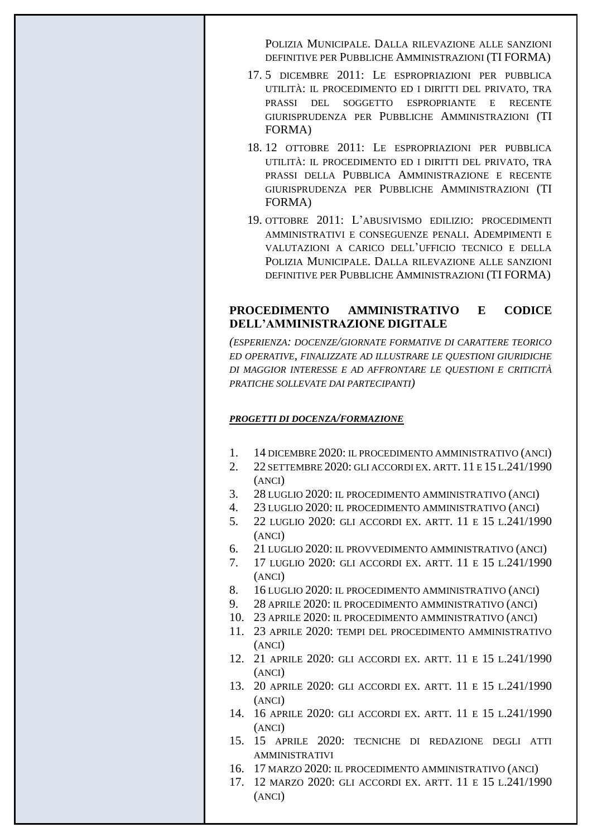POLIZIA MUNICIPALE. DALLA RILEVAZIONE ALLE SANZIONI DEFINITIVE PER PUBBLICHE AMMINISTRAZIONI (TI FORMA)

- 17. 5 DICEMBRE 2011: LE ESPROPRIAZIONI PER PUBBLICA UTILITÀ: IL PROCEDIMENTO ED I DIRITTI DEL PRIVATO, TRA PRASSI DEL SOGGETTO ESPROPRIANTE E RECENTE GIURISPRUDENZA PER PUBBLICHE AMMINISTRAZIONI (TI FORMA)
- 18. 12 OTTOBRE 2011: LE ESPROPRIAZIONI PER PUBBLICA UTILITÀ: IL PROCEDIMENTO ED I DIRITTI DEL PRIVATO, TRA PRASSI DELLA PUBBLICA AMMINISTRAZIONE E RECENTE GIURISPRUDENZA PER PUBBLICHE AMMINISTRAZIONI (TI FORMA)
- 19. OTTOBRE 2011: L'ABUSIVISMO EDILIZIO: PROCEDIMENTI AMMINISTRATIVI E CONSEGUENZE PENALI. ADEMPIMENTI E VALUTAZIONI A CARICO DELL'UFFICIO TECNICO E DELLA POLIZIA MUNICIPALE. DALLA RILEVAZIONE ALLE SANZIONI DEFINITIVE PER PUBBLICHE AMMINISTRAZIONI (TI FORMA)

# **PROCEDIMENTO AMMINISTRATIVO E CODICE DELL'AMMINISTRAZIONE DIGITALE**

*(ESPERIENZA: DOCENZE/GIORNATE FORMATIVE DI CARATTERE TEORICO ED OPERATIVE, FINALIZZATE AD ILLUSTRARE LE QUESTIONI GIURIDICHE DI MAGGIOR INTERESSE E AD AFFRONTARE LE QUESTIONI E CRITICITÀ PRATICHE SOLLEVATE DAI PARTECIPANTI)*

## *PROGETTI DI DOCENZA/FORMAZIONE*

- 1. 14 DICEMBRE 2020: IL PROCEDIMENTO AMMINISTRATIVO (ANCI)
- 2. 22 SETTEMBRE 2020: GLI ACCORDI EX. ARTT. 11 E 15 L.241/1990 (ANCI)
- 3. 28 LUGLIO 2020: IL PROCEDIMENTO AMMINISTRATIVO (ANCI)
- 4. 23 LUGLIO 2020: IL PROCEDIMENTO AMMINISTRATIVO (ANCI)
- 5. 22 LUGLIO 2020: GLI ACCORDI EX. ARTT. 11 E 15 L.241/1990 (ANCI)
- 6. 21 LUGLIO 2020: IL PROVVEDIMENTO AMMINISTRATIVO (ANCI)
- 7. 17 LUGLIO 2020: GLI ACCORDI EX. ARTT. 11 E 15 L.241/1990 (ANCI)
- 8. 16 LUGLIO 2020: IL PROCEDIMENTO AMMINISTRATIVO (ANCI)
- 9. 28 APRILE 2020: IL PROCEDIMENTO AMMINISTRATIVO (ANCI)
- 10. 23 APRILE 2020: IL PROCEDIMENTO AMMINISTRATIVO (ANCI)
- 11. 23 APRILE 2020: TEMPI DEL PROCEDIMENTO AMMINISTRATIVO (ANCI)
- 12. 21 APRILE 2020: GLI ACCORDI EX. ARTT. 11 E 15 L.241/1990 (ANCI)
- 13. 20 APRILE 2020: GLI ACCORDI EX. ARTT. 11 E 15 L.241/1990 (ANCI)
- 14. 16 APRILE 2020: GLI ACCORDI EX. ARTT. 11 E 15 L.241/1990 (ANCI)
- 15. 15 APRILE 2020: TECNICHE DI REDAZIONE DEGLI ATTI AMMINISTRATIVI
- 16. 17 MARZO 2020: IL PROCEDIMENTO AMMINISTRATIVO (ANCI)
- 17. 12 MARZO 2020: GLI ACCORDI EX. ARTT. 11 E 15 L.241/1990 (ANCI)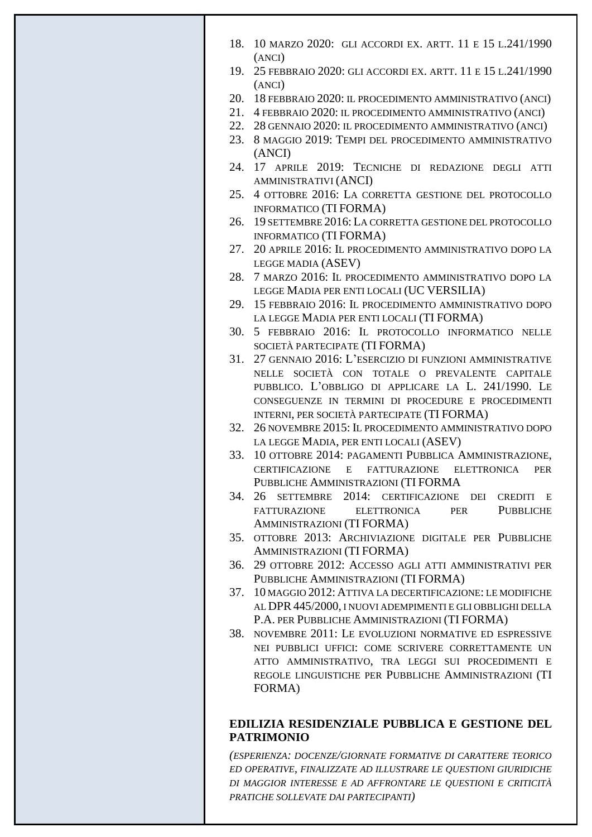- 18. 10 MARZO 2020: GLI ACCORDI EX. ARTT. 11 E 15 L.241/1990 (ANCI)
- 19. 25 FEBBRAIO 2020: GLI ACCORDI EX. ARTT. 11 E 15 L.241/1990 (ANCI)
- 20. 18 FEBBRAIO 2020: IL PROCEDIMENTO AMMINISTRATIVO (ANCI)
- 21. 4 FEBBRAIO 2020: IL PROCEDIMENTO AMMINISTRATIVO (ANCI)
- 22. 28 GENNAIO 2020: IL PROCEDIMENTO AMMINISTRATIVO (ANCI)
- 23. 8 MAGGIO 2019: TEMPI DEL PROCEDIMENTO AMMINISTRATIVO (ANCI)
- 24. 17 APRILE 2019: TECNICHE DI REDAZIONE DEGLI ATTI AMMINISTRATIVI (ANCI)
- 25. 4 OTTOBRE 2016: LA CORRETTA GESTIONE DEL PROTOCOLLO INFORMATICO (TI FORMA)
- 26. 19 SETTEMBRE 2016: LA CORRETTA GESTIONE DEL PROTOCOLLO INFORMATICO (TI FORMA)
- 27. 20 APRILE 2016: IL PROCEDIMENTO AMMINISTRATIVO DOPO LA LEGGE MADIA (ASEV)
- 28. 7 MARZO 2016: IL PROCEDIMENTO AMMINISTRATIVO DOPO LA LEGGE MADIA PER ENTI LOCALI (UC VERSILIA)
- 29. 15 FEBBRAIO 2016: IL PROCEDIMENTO AMMINISTRATIVO DOPO LA LEGGE MADIA PER ENTI LOCALI (TI FORMA)
- 30. 5 FEBBRAIO 2016: IL PROTOCOLLO INFORMATICO NELLE SOCIETÀ PARTECIPATE (TI FORMA)
- 31. 27 GENNAIO 2016: L'ESERCIZIO DI FUNZIONI AMMINISTRATIVE NELLE SOCIETÀ CON TOTALE O PREVALENTE CAPITALE PUBBLICO. L'OBBLIGO DI APPLICARE LA L. 241/1990. LE CONSEGUENZE IN TERMINI DI PROCEDURE E PROCEDIMENTI INTERNI, PER SOCIETÀ PARTECIPATE (TI FORMA)
- 32. 26 NOVEMBRE 2015: IL PROCEDIMENTO AMMINISTRATIVO DOPO LA LEGGE MADIA, PER ENTI LOCALI (ASEV)
- 33. 10 OTTOBRE 2014: PAGAMENTI PUBBLICA AMMINISTRAZIONE, CERTIFICAZIONE E FATTURAZIONE ELETTRONICA PER PUBBLICHE AMMINISTRAZIONI (TI FORMA
- 34. 26 SETTEMBRE 2014: CERTIFICAZIONE DEI CREDITI E FATTURAZIONE ELETTRONICA PER PUBBLICHE AMMINISTRAZIONI (TI FORMA)
- 35. OTTOBRE 2013: ARCHIVIAZIONE DIGITALE PER PUBBLICHE AMMINISTRAZIONI (TI FORMA)
- 36. 29 OTTOBRE 2012: ACCESSO AGLI ATTI AMMINISTRATIVI PER PUBBLICHE AMMINISTRAZIONI (TI FORMA)
- 37. 10 MAGGIO 2012: ATTIVA LA DECERTIFICAZIONE: LE MODIFICHE AL DPR445/2000, I NUOVI ADEMPIMENTI E GLI OBBLIGHI DELLA P.A. PER PUBBLICHE AMMINISTRAZIONI (TI FORMA)
- 38. NOVEMBRE 2011: LE EVOLUZIONI NORMATIVE ED ESPRESSIVE NEI PUBBLICI UFFICI: COME SCRIVERE CORRETTAMENTE UN ATTO AMMINISTRATIVO, TRA LEGGI SUI PROCEDIMENTI E REGOLE LINGUISTICHE PER PUBBLICHE AMMINISTRAZIONI (TI FORMA)

# **EDILIZIA RESIDENZIALE PUBBLICA E GESTIONE DEL PATRIMONIO**

*(ESPERIENZA: DOCENZE/GIORNATE FORMATIVE DI CARATTERE TEORICO ED OPERATIVE, FINALIZZATE AD ILLUSTRARE LE QUESTIONI GIURIDICHE DI MAGGIOR INTERESSE E AD AFFRONTARE LE QUESTIONI E CRITICITÀ PRATICHE SOLLEVATE DAI PARTECIPANTI)*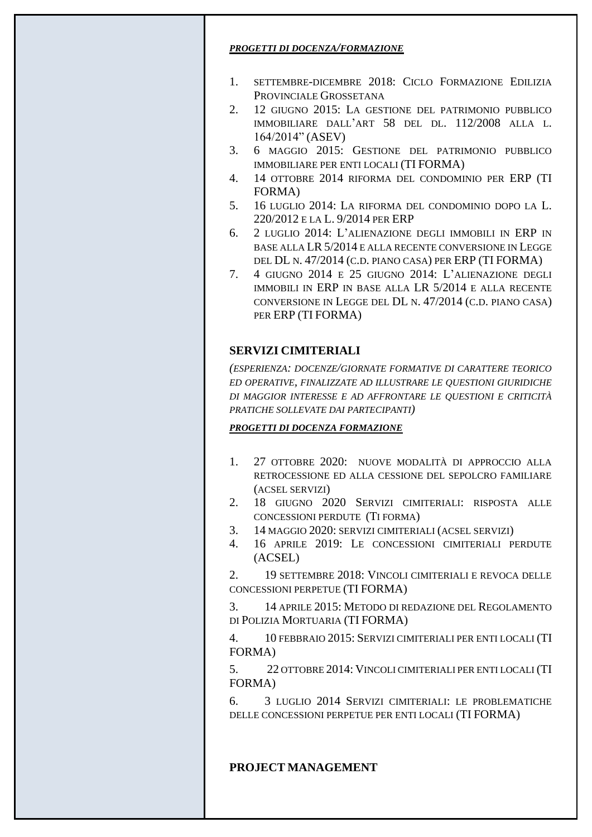### *PROGETTI DI DOCENZA/FORMAZIONE*

- 1. SETTEMBRE-DICEMBRE 2018: CICLO FORMAZIONE EDILIZIA PROVINCIALE GROSSETANA
- 2. 12 GIUGNO 2015: LA GESTIONE DEL PATRIMONIO PUBBLICO IMMOBILIARE DALL'ART 58 DEL DL. 112/2008 ALLA L. 164/2014" (ASEV)
- 3. 6 MAGGIO 2015: GESTIONE DEL PATRIMONIO PUBBLICO IMMOBILIARE PER ENTI LOCALI (TI FORMA)
- 4. 14 OTTOBRE 2014 RIFORMA DEL CONDOMINIO PER ERP (TI FORMA)
- 5. 16 LUGLIO 2014: LA RIFORMA DEL CONDOMINIO DOPO LA L. 220/2012 E LA L. 9/2014 PER ERP
- 6. 2 LUGLIO 2014: L'ALIENAZIONE DEGLI IMMOBILI IN ERP IN BASE ALLA LR 5/2014 E ALLA RECENTE CONVERSIONE IN LEGGE DEL DL N. 47/2014 (C.D. PIANO CASA) PER ERP (TI FORMA)
- 7. 4 GIUGNO 2014 E 25 GIUGNO 2014: L'ALIENAZIONE DEGLI IMMOBILI IN ERP IN BASE ALLA LR 5/2014 E ALLA RECENTE CONVERSIONE IN LEGGE DEL DL N. 47/2014 (C.D. PIANO CASA) PER ERP (TI FORMA)

# **SERVIZI CIMITERIALI**

*(ESPERIENZA: DOCENZE/GIORNATE FORMATIVE DI CARATTERE TEORICO ED OPERATIVE, FINALIZZATE AD ILLUSTRARE LE QUESTIONI GIURIDICHE DI MAGGIOR INTERESSE E AD AFFRONTARE LE QUESTIONI E CRITICITÀ PRATICHE SOLLEVATE DAI PARTECIPANTI)*

## *PROGETTI DI DOCENZA FORMAZIONE*

- 1. 27 OTTOBRE 2020: NUOVE MODALITÀ DI APPROCCIO ALLA RETROCESSIONE ED ALLA CESSIONE DEL SEPOLCRO FAMILIARE (ACSEL SERVIZI)
- 2. 18 GIUGNO 2020 SERVIZI CIMITERIALI: RISPOSTA ALLE CONCESSIONI PERDUTE (TI FORMA)
- 3. 14 MAGGIO 2020: SERVIZI CIMITERIALI (ACSEL SERVIZI)
- 4. 16 APRILE 2019: LE CONCESSIONI CIMITERIALI PERDUTE (ACSEL)

2. 19 SETTEMBRE 2018: VINCOLI CIMITERIALI E REVOCA DELLE CONCESSIONI PERPETUE (TI FORMA)

3. 14 APRILE 2015: METODO DI REDAZIONE DEL REGOLAMENTO DI POLIZIA MORTUARIA (TI FORMA)

4. 10 FEBBRAIO 2015: SERVIZI CIMITERIALI PER ENTI LOCALI (TI FORMA)

5. 22 OTTOBRE 2014: VINCOLI CIMITERIALI PER ENTI LOCALI (TI FORMA)

6. 3 LUGLIO 2014 SERVIZI CIMITERIALI: LE PROBLEMATICHE DELLE CONCESSIONI PERPETUE PER ENTI LOCALI (TI FORMA)

# **PROJECT MANAGEMENT**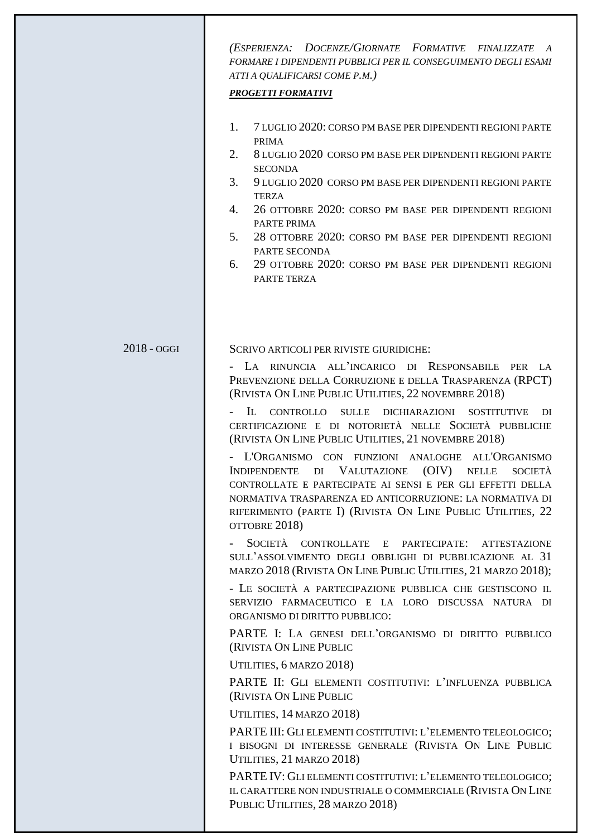*(ESPERIENZA: DOCENZE/GIORNATE FORMATIVE FINALIZZATE A FORMARE I DIPENDENTI PUBBLICI PER IL CONSEGUIMENTO DEGLI ESAMI ATTI A QUALIFICARSI COME P.M.)*

#### *PROGETTI FORMATIVI*

- 1. 7 LUGLIO 2020: CORSO PM BASE PER DIPENDENTI REGIONI PARTE PRIMA
- 2. 8 LUGLIO 2020 CORSO PM BASE PER DIPENDENTI REGIONI PARTE **SECONDA**
- 3. 9 LUGLIO 2020 CORSO PM BASE PER DIPENDENTI REGIONI PARTE TERZA
- 4. 26 OTTOBRE 2020: CORSO PM BASE PER DIPENDENTI REGIONI PARTE PRIMA
- 5. 28 OTTOBRE 2020: CORSO PM BASE PER DIPENDENTI REGIONI PARTE SECONDA
- 6. 29 OTTOBRE 2020: CORSO PM BASE PER DIPENDENTI REGIONI PARTE TERZA

#### 2018 - OGGI

SCRIVO ARTICOLI PER RIVISTE GIURIDICHE:

- LA RINUNCIA ALL'INCARICO DI RESPONSABILE PER LA PREVENZIONE DELLA CORRUZIONE E DELLA TRASPARENZA (RPCT) (RIVISTA ON LINE PUBLIC UTILITIES, 22 NOVEMBRE 2018)

- IL CONTROLLO SULLE DICHIARAZIONI SOSTITUTIVE DI CERTIFICAZIONE E DI NOTORIETÀ NELLE SOCIETÀ PUBBLICHE (RIVISTA ON LINE PUBLIC UTILITIES, 21 NOVEMBRE 2018)

- L'ORGANISMO CON FUNZIONI ANALOGHE ALL'ORGANISMO INDIPENDENTE DI VALUTAZIONE (OIV) NELLE SOCIETÀ CONTROLLATE E PARTECIPATE AI SENSI E PER GLI EFFETTI DELLA NORMATIVA TRASPARENZA ED ANTICORRUZIONE: LA NORMATIVA DI RIFERIMENTO (PARTE I) (RIVISTA ON LINE PUBLIC UTILITIES, 22 OTTOBRE 2018)

SOCIETÀ CONTROLLATE E PARTECIPATE: ATTESTAZIONE SULL'ASSOLVIMENTO DEGLI OBBLIGHI DI PUBBLICAZIONE AL 31 MARZO 2018 (RIVISTA ON LINE PUBLIC UTILITIES, 21 MARZO 2018);

- LE SOCIETÀ A PARTECIPAZIONE PUBBLICA CHE GESTISCONO IL SERVIZIO FARMACEUTICO E LA LORO DISCUSSA NATURA DI ORGANISMO DI DIRITTO PUBBLICO:

PARTE I: LA GENESI DELL'ORGANISMO DI DIRITTO PUBBLICO (RIVISTA ON LINE PUBLIC

UTILITIES, 6 MARZO 2018)

PARTE II: GLI ELEMENTI COSTITUTIVI: L'INFLUENZA PUBBLICA (RIVISTA ON LINE PUBLIC

UTILITIES, 14 MARZO 2018)

PARTE III: GLI ELEMENTI COSTITUTIVI: L'ELEMENTO TELEOLOGICO; I BISOGNI DI INTERESSE GENERALE (RIVISTA ON LINE PUBLIC UTILITIES, 21 MARZO 2018)

PARTE IV: GLI ELEMENTI COSTITUTIVI: L'ELEMENTO TELEOLOGICO; IL CARATTERE NON INDUSTRIALE O COMMERCIALE (RIVISTA ON LINE PUBLIC UTILITIES, 28 MARZO 2018)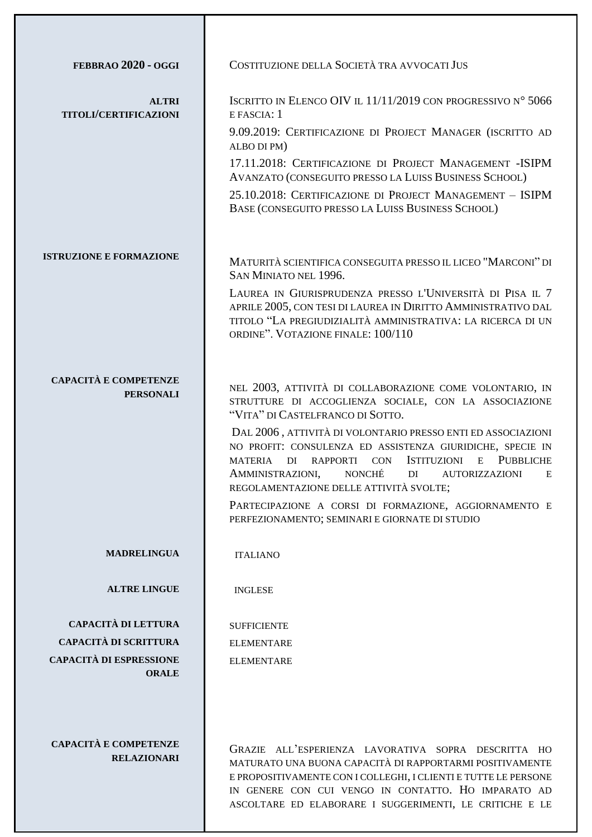| FEBBRAO 2020 - OGGI                          | COSTITUZIONE DELLA SOCIETÀ TRA AVVOCATI JUS                                                                                                                                                                                                                                                                  |
|----------------------------------------------|--------------------------------------------------------------------------------------------------------------------------------------------------------------------------------------------------------------------------------------------------------------------------------------------------------------|
| <b>ALTRI</b><br><b>TITOLI/CERTIFICAZIONI</b> | ISCRITTO IN ELENCO OIV IL 11/11/2019 CON PROGRESSIVO N° 5066<br>E FASCIA: 1                                                                                                                                                                                                                                  |
|                                              | 9.09.2019: CERTIFICAZIONE DI PROJECT MANAGER (ISCRITTO AD<br>ALBO DI PM)                                                                                                                                                                                                                                     |
|                                              | 17.11.2018: CERTIFICAZIONE DI PROJECT MANAGEMENT - ISIPM<br>AVANZATO (CONSEGUITO PRESSO LA LUISS BUSINESS SCHOOL)                                                                                                                                                                                            |
|                                              | 25.10.2018: CERTIFICAZIONE DI PROJECT MANAGEMENT - ISIPM<br>BASE (CONSEGUITO PRESSO LA LUISS BUSINESS SCHOOL)                                                                                                                                                                                                |
| <b>ISTRUZIONE E FORMAZIONE</b>               | MATURITÀ SCIENTIFICA CONSEGUITA PRESSO IL LICEO "MARCONI" DI                                                                                                                                                                                                                                                 |
|                                              | SAN MINIATO NEL 1996.<br>LAUREA IN GIURISPRUDENZA PRESSO L'UNIVERSITÀ DI PISA IL 7                                                                                                                                                                                                                           |
|                                              | APRILE 2005, CON TESI DI LAUREA IN DIRITTO AMMINISTRATIVO DAL<br>TITOLO "LA PREGIUDIZIALITÀ AMMINISTRATIVA: LA RICERCA DI UN<br>ORDINE". VOTAZIONE FINALE: 100/110                                                                                                                                           |
| <b>CAPACITÀ E COMPETENZE</b>                 |                                                                                                                                                                                                                                                                                                              |
| <b>PERSONALI</b>                             | NEL 2003, ATTIVITÀ DI COLLABORAZIONE COME VOLONTARIO, IN<br>STRUTTURE DI ACCOGLIENZA SOCIALE, CON LA ASSOCIAZIONE<br>"VITA" DI CASTELFRANCO DI SOTTO.                                                                                                                                                        |
|                                              | DAL 2006, ATTIVITÀ DI VOLONTARIO PRESSO ENTI ED ASSOCIAZIONI<br>NO PROFIT: CONSULENZA ED ASSISTENZA GIURIDICHE, SPECIE IN<br>CON ISTITUZIONI<br><b>PUBBLICHE</b><br>DI RAPPORTI<br>E<br>MATERIA<br>AMMINISTRAZIONI,<br>NONCHÉ<br>DI<br><b>AUTORIZZAZIONI</b><br>Ε<br>REGOLAMENTAZIONE DELLE ATTIVITÀ SVOLTE; |
|                                              | PARTECIPAZIONE A CORSI DI FORMAZIONE, AGGIORNAMENTO E<br>PERFEZIONAMENTO; SEMINARI E GIORNATE DI STUDIO                                                                                                                                                                                                      |
| <b>MADRELINGUA</b>                           | <b>ITALIANO</b>                                                                                                                                                                                                                                                                                              |
| <b>ALTRE LINGUE</b>                          | <b>INGLESE</b>                                                                                                                                                                                                                                                                                               |
| CAPACITÀ DI LETTURA                          | <b>SUFFICIENTE</b>                                                                                                                                                                                                                                                                                           |
| <b>CAPACITÀ DI SCRITTURA</b>                 | <b>ELEMENTARE</b>                                                                                                                                                                                                                                                                                            |
| <b>CAPACITÀ DI ESPRESSIONE</b>               | <b>ELEMENTARE</b>                                                                                                                                                                                                                                                                                            |
| <b>ORALE</b><br><b>CAPACITÀ E COMPETENZE</b> |                                                                                                                                                                                                                                                                                                              |
| <b>RELAZIONARI</b>                           | GRAZIE ALL'ESPERIENZA LAVORATIVA SOPRA DESCRITTA HO<br>MATURATO UNA BUONA CAPACITÀ DI RAPPORTARMI POSITIVAMENTE<br>E PROPOSITIVAMENTE CON I COLLEGHI, I CLIENTI E TUTTE LE PERSONE<br>IN GENERE CON CUI VENGO IN CONTATTO. HO IMPARATO AD                                                                    |

ASCOLTARE ED ELABORARE I SUGGERIMENTI, LE CRITICHE E LE